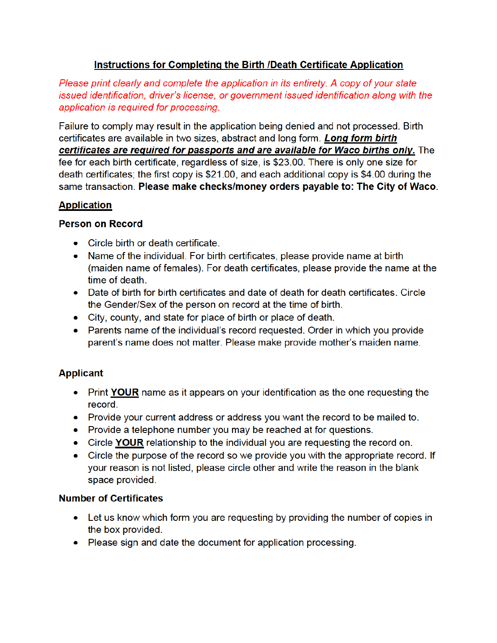# Instructions for Completing the Birth /Death Certificate Application

Please print clearly and complete the application in its entirety. A copy of your state issued identification, driver's license, or government issued identification along with the application is required for processing.

Failure to comply may result in the application being denied and not processed. Birth certificates are available in two sizes, abstract and long form. Long form birth certificates are required for passports and are available for Waco births only. The fee for each birth certificate, regardless of size, is \$23.00. There is only one size for death certificates; the first copy is \$21.00, and each additional copy is \$4.00 during the same transaction. Please make checks/money orders payable to: The City of Waco

### **Application**

### Person on Record

- Circle birth or death certificate.
- Name of the individual. For birth certificates, please provide name at birth (maiden name of females). For death certificates, please provide the name at the time of death.
- Date of birth for birth certificates and date of death for death certificates. Circle the Gender/Sex of the person on record at the time of birth.
- City, county, and state for place of birth or place of death.
- Parents name of the individual's record requested. Order in which you provide parent's name does not matter. Please make provide mother's maiden name.

## Applicant

- Print YOUR name as it appears on your identification as the one requesting the record.
- Provide your current address or address you want the record to be mailed to.
- Provide a telephone number you may be reached at for questions.
- Circle YOUR relationship to the individual you are requesting the record on.
- Circle the purpose of the record so we provide you with the appropriate record. If your reason is not listed, please circle other and write the reason in the blank space provided.

## Number of Certificates

- Let us know which form you are requesting by providing the number of copies in the box provided.
- Please sign and date the document for application processing.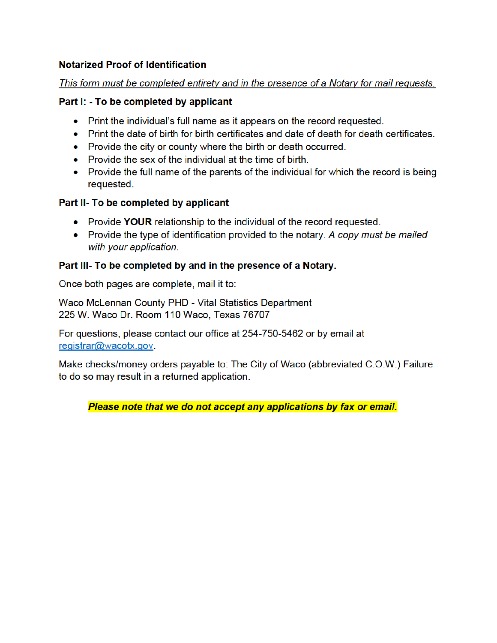### Notarized Proof of Identification

#### This form must be completed entirety and in the presence of a Notary for mail requests.

### Part I: - To be completed by applicant

- Print the individual's full name as it appears on the record requested.
- Print the date of birth for birth certificates and date of death for death certificates.
- Provide the city or county where the birth or death occurred.
- Provide the sex of the individual at the time of birth.
- Provide the full name of the parents of the individual for which the record is being requested.

### Part II- To be completed by applicant

- Provide YOUR relationship to the individual of the record requested.
- Provide the type of identification provided to the notary. A copy must be mailed with your application.

### Part III- To be completed by and in the presence of a Notary.

Once both pages are complete, mail it to:

Waco McLennan County PHD - Vital Statistics Department 225 W. Waco Dr. Room 110 Waco, Texas 76707

For questions, please contact our office at 254-750-5462 or by email at [registrar@wacotx.gov.](mailto:registrar@wacotx.gov)

Make checks/money orders payable to: The City of Waco (abbreviated C.O.W.) Failure to do so may result in a returned application.

## Please note that we do not accept any applications by fax or email.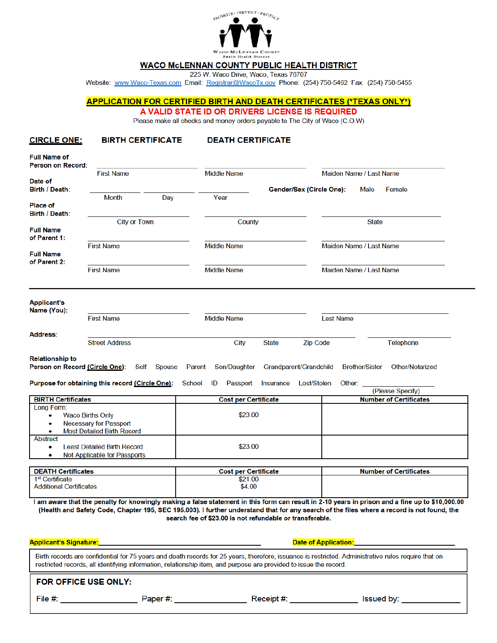

#### WACO McLENNAN COUNTY PUBLIC HEALTH DISTRICT

225 W. Waco Drive, Waco, Texas 76707

Website: www.Waco-Texas.com Email[: Registrar@WacoTx.gov](mailto:Registrar@WacoTx.gov) Phone: (254) 750-5462 Fax: (254) 750-5455

#### APPLICATION FOR CERTIFIED BIRTH AND DEATH CERTIFICATES (\*TEXAS ONLY\*)

A VALID STATE ID OR DRIVERS LICENSEIS REQUIRED

Please make all checks and money orders payable to The City of Waco (C.O.W)

#### CIRCLE ONE: BIRTH CERTIFICATE DEATH CERTIFICATE

| <b>Full Name of</b><br><b>Person on Record:</b>          |                                                                                                                   |                                                          |                                        |                  |                          |                           |              |                                                                                                                                                                                                                                                                                               |  |
|----------------------------------------------------------|-------------------------------------------------------------------------------------------------------------------|----------------------------------------------------------|----------------------------------------|------------------|--------------------------|---------------------------|--------------|-----------------------------------------------------------------------------------------------------------------------------------------------------------------------------------------------------------------------------------------------------------------------------------------------|--|
|                                                          | <b>First Name</b>                                                                                                 |                                                          | <b>Middle Name</b>                     |                  |                          | Maiden Name / Last Name   |              |                                                                                                                                                                                                                                                                                               |  |
| Date of<br>Birth / Death:                                |                                                                                                                   |                                                          |                                        |                  | Gender/Sex (Circle One): |                           | Male         | Female                                                                                                                                                                                                                                                                                        |  |
|                                                          | <b>Month</b>                                                                                                      | Day                                                      | Year                                   |                  |                          |                           |              |                                                                                                                                                                                                                                                                                               |  |
| <b>Place of</b><br>Birth / Death:                        |                                                                                                                   |                                                          |                                        |                  |                          |                           |              |                                                                                                                                                                                                                                                                                               |  |
|                                                          | <b>City or Town</b>                                                                                               |                                                          | County                                 |                  |                          |                           | <b>State</b> |                                                                                                                                                                                                                                                                                               |  |
| <b>Full Name</b><br>of Parent 1:                         |                                                                                                                   |                                                          |                                        |                  |                          |                           |              |                                                                                                                                                                                                                                                                                               |  |
|                                                          | <b>First Name</b>                                                                                                 |                                                          | <b>Middle Name</b>                     |                  |                          | Maiden Name / Last Name   |              |                                                                                                                                                                                                                                                                                               |  |
| <b>Full Name</b><br>of Parent 2:                         |                                                                                                                   |                                                          |                                        |                  |                          |                           |              |                                                                                                                                                                                                                                                                                               |  |
| <b>First Name</b>                                        |                                                                                                                   |                                                          | <b>Middle Name</b>                     |                  |                          | Maiden Name / Last Name   |              |                                                                                                                                                                                                                                                                                               |  |
| <b>Applicant's</b>                                       |                                                                                                                   |                                                          |                                        |                  |                          |                           |              |                                                                                                                                                                                                                                                                                               |  |
| Name (You):                                              | <b>First Name</b>                                                                                                 |                                                          | <b>Middle Name</b>                     |                  |                          | <b>Last Name</b>          |              |                                                                                                                                                                                                                                                                                               |  |
| Address:                                                 |                                                                                                                   |                                                          |                                        |                  |                          |                           |              |                                                                                                                                                                                                                                                                                               |  |
|                                                          | <b>Street Address</b>                                                                                             |                                                          | City                                   | <b>State</b>     | <b>Zip Code</b>          |                           |              | Telephone                                                                                                                                                                                                                                                                                     |  |
| Purpose for obtaining this record (Circle One):          |                                                                                                                   |                                                          |                                        |                  |                          |                           |              |                                                                                                                                                                                                                                                                                               |  |
|                                                          |                                                                                                                   | <b>School</b>                                            | ID<br>Passport                         | <b>Insurance</b> | Lost/Stolen              | Other:                    |              | (Please Specify)                                                                                                                                                                                                                                                                              |  |
| <b>BIRTH Certificates</b><br>Long Form:                  |                                                                                                                   |                                                          | <b>Cost per Certificate</b>            |                  |                          |                           |              | <b>Number of Certificates</b>                                                                                                                                                                                                                                                                 |  |
| ٠                                                        | <b>Waco Births Only</b>                                                                                           |                                                          | \$23.00                                |                  |                          |                           |              |                                                                                                                                                                                                                                                                                               |  |
|                                                          | <b>Necessary for Passport</b><br><b>Most Detailed Birth Record</b>                                                |                                                          |                                        |                  |                          |                           |              |                                                                                                                                                                                                                                                                                               |  |
| Abstract<br>۰<br>۰                                       | <b>Least Detailed Birth Record</b>                                                                                |                                                          | \$23.00                                |                  |                          |                           |              |                                                                                                                                                                                                                                                                                               |  |
|                                                          | Not Applicable for Passports                                                                                      |                                                          |                                        |                  |                          |                           |              |                                                                                                                                                                                                                                                                                               |  |
| <b>DEATH Certificates</b><br>1 <sup>st</sup> Certificate |                                                                                                                   |                                                          | <b>Cost per Certificate</b><br>\$21.00 |                  |                          |                           |              | <b>Number of Certificates</b>                                                                                                                                                                                                                                                                 |  |
| <b>Additional Certificates</b>                           |                                                                                                                   |                                                          | \$4.00                                 |                  |                          |                           |              |                                                                                                                                                                                                                                                                                               |  |
|                                                          |                                                                                                                   | search fee of \$23.00 is not refundable or transferable. |                                        |                  |                          |                           |              | I am aware that the penalty for knowingly making a false statement in this form can result in 2-10 years in prison and a fine up to \$10,000.00<br>(Health and Safety Code, Chapter 195, SEC 195.003). I further understand that for any search of the files where a record is not found, the |  |
|                                                          |                                                                                                                   |                                                          |                                        |                  |                          | Date of Application: Mate |              |                                                                                                                                                                                                                                                                                               |  |
|                                                          | restricted records, all identifying information, relationship item, and purpose are provided to issue the record. |                                                          |                                        |                  |                          |                           |              | Birth records are confidential for 75 years and death records for 25 years, therefore, issuance is restricted. Administrative rules require that on                                                                                                                                           |  |
| FOR OFFICE USE ONLY:                                     |                                                                                                                   |                                                          |                                        |                  |                          |                           |              |                                                                                                                                                                                                                                                                                               |  |
| <b>Applicant's Signature:</b>                            |                                                                                                                   |                                                          |                                        |                  |                          |                           |              |                                                                                                                                                                                                                                                                                               |  |